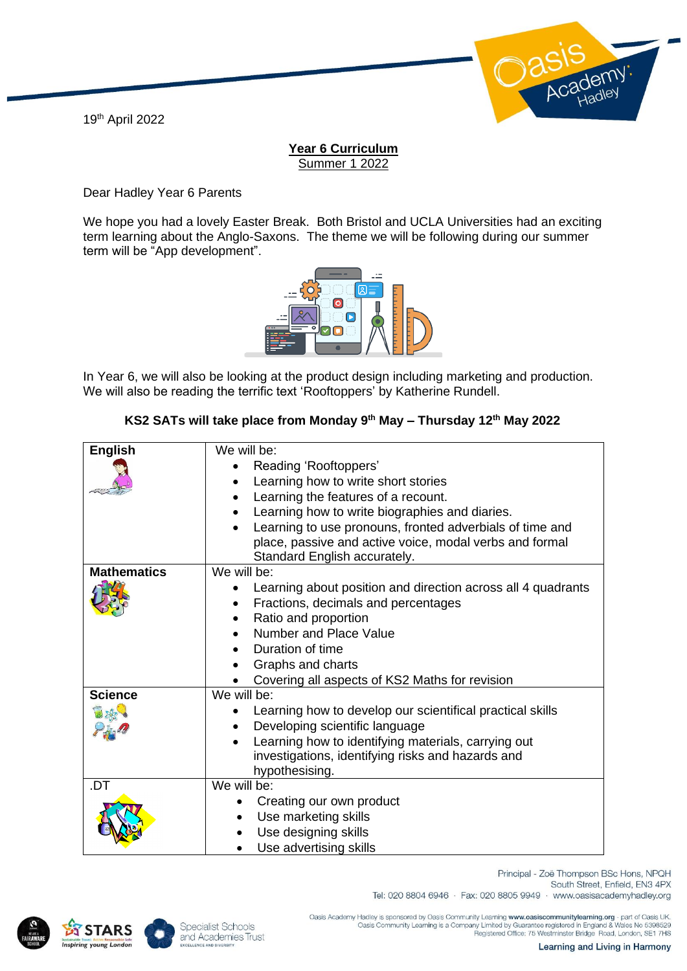19th April 2022



## **Year 6 Curriculum** Summer 1 2022

Dear Hadley Year 6 Parents

We hope you had a lovely Easter Break. Both Bristol and UCLA Universities had an exciting term learning about the Anglo-Saxons. The theme we will be following during our summer term will be "App development".



In Year 6, we will also be looking at the product design including marketing and production. We will also be reading the terrific text 'Rooftoppers' by Katherine Rundell.

## **KS2 SATs will take place from Monday 9th May – Thursday 12th May 2022**

| <b>English</b>     | We will be:                                                  |
|--------------------|--------------------------------------------------------------|
|                    | Reading 'Rooftoppers'                                        |
|                    | Learning how to write short stories                          |
|                    | Learning the features of a recount.                          |
|                    |                                                              |
|                    | Learning how to write biographies and diaries.               |
|                    | Learning to use pronouns, fronted adverbials of time and     |
|                    | place, passive and active voice, modal verbs and formal      |
|                    | Standard English accurately.                                 |
| <b>Mathematics</b> | We will be:                                                  |
|                    | Learning about position and direction across all 4 quadrants |
|                    | Fractions, decimals and percentages                          |
|                    | Ratio and proportion                                         |
|                    | Number and Place Value                                       |
|                    | Duration of time                                             |
|                    | Graphs and charts                                            |
|                    | Covering all aspects of KS2 Maths for revision               |
| <b>Science</b>     | We will be:                                                  |
|                    | Learning how to develop our scientifical practical skills    |
|                    | Developing scientific language                               |
|                    | Learning how to identifying materials, carrying out          |
|                    | investigations, identifying risks and hazards and            |
|                    | hypothesising.                                               |
| .DT                | We will be:                                                  |
|                    | Creating our own product                                     |
|                    | Use marketing skills                                         |
|                    |                                                              |
|                    | Use designing skills                                         |
|                    | Use advertising skills                                       |





Specialist Schools and Academies Trust Tel: 020 8804 6946 · Fax: 020 8805 9949 · www.oasisacademyhadley.org

.Oasis Academy Hadley is sponsored by Oasis Community Learning www.oasiscommunitylearning.org - part of Oasis UK<br>Oasis Community Learning is a Company Limited by Guarantee registered in England & Wales No 5398529<br>Registere

South Street, Enfield, EN3 4PX

Principal - Zoë Thompson BSc Hons, NPQH